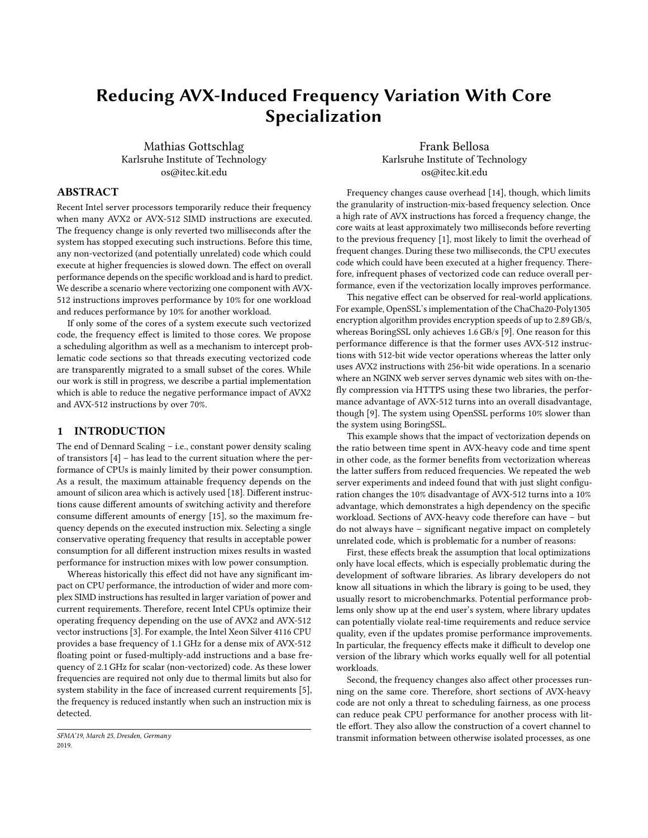# Reducing AVX-Induced Frequency Variation With Core Specialization

Mathias Gottschlag Karlsruhe Institute of Technology os@itec.kit.edu

Frank Bellosa Karlsruhe Institute of Technology os@itec.kit.edu

# ABSTRACT

Recent Intel server processors temporarily reduce their frequency when many AVX2 or AVX-512 SIMD instructions are executed. The frequency change is only reverted two milliseconds after the system has stopped executing such instructions. Before this time, any non-vectorized (and potentially unrelated) code which could execute at higher frequencies is slowed down. The effect on overall performance depends on the specific workload and is hard to predict. We describe a scenario where vectorizing one component with AVX-512 instructions improves performance by 10% for one workload and reduces performance by 10% for another workload.

If only some of the cores of a system execute such vectorized code, the frequency effect is limited to those cores. We propose a scheduling algorithm as well as a mechanism to intercept problematic code sections so that threads executing vectorized code are transparently migrated to a small subset of the cores. While our work is still in progress, we describe a partial implementation which is able to reduce the negative performance impact of AVX2 and AVX-512 instructions by over 70%.

# 1 INTRODUCTION

The end of Dennard Scaling – i.e., constant power density scaling of transistors [\[4\]](#page-5-0) – has lead to the current situation where the performance of CPUs is mainly limited by their power consumption. As a result, the maximum attainable frequency depends on the amount of silicon area which is actively used [\[18\]](#page-5-1). Different instructions cause different amounts of switching activity and therefore consume different amounts of energy [\[15\]](#page-5-2), so the maximum frequency depends on the executed instruction mix. Selecting a single conservative operating frequency that results in acceptable power consumption for all different instruction mixes results in wasted performance for instruction mixes with low power consumption.

Whereas historically this effect did not have any significant impact on CPU performance, the introduction of wider and more complex SIMD instructions has resulted in larger variation of power and current requirements. Therefore, recent Intel CPUs optimize their operating frequency depending on the use of AVX2 and AVX-512 vector instructions [\[3\]](#page-5-3). For example, the Intel Xeon Silver 4116 CPU provides a base frequency of 1.1 GHz for a dense mix of AVX-512 floating point or fused-multiply-add instructions and a base frequency of 2.1 GHz for scalar (non-vectorized) code. As these lower frequencies are required not only due to thermal limits but also for system stability in the face of increased current requirements [\[5\]](#page-5-4), the frequency is reduced instantly when such an instruction mix is detected.

Frequency changes cause overhead [\[14\]](#page-5-5), though, which limits the granularity of instruction-mix-based frequency selection. Once a high rate of AVX instructions has forced a frequency change, the core waits at least approximately two milliseconds before reverting to the previous frequency [\[1\]](#page-5-6), most likely to limit the overhead of frequent changes. During these two milliseconds, the CPU executes code which could have been executed at a higher frequency. Therefore, infrequent phases of vectorized code can reduce overall performance, even if the vectorization locally improves performance.

This negative effect can be observed for real-world applications. For example, OpenSSL's implementation of the ChaCha20-Poly1305 encryption algorithm provides encryption speeds of up to 2.89 GB/s, whereas BoringSSL only achieves 1.6 GB/s [\[9\]](#page-5-7). One reason for this performance difference is that the former uses AVX-512 instructions with 512-bit wide vector operations whereas the latter only uses AVX2 instructions with 256-bit wide operations. In a scenario where an NGINX web server serves dynamic web sites with on-thefly compression via HTTPS using these two libraries, the performance advantage of AVX-512 turns into an overall disadvantage, though [\[9\]](#page-5-7). The system using OpenSSL performs 10% slower than the system using BoringSSL.

This example shows that the impact of vectorization depends on the ratio between time spent in AVX-heavy code and time spent in other code, as the former benefits from vectorization whereas the latter suffers from reduced frequencies. We repeated the web server experiments and indeed found that with just slight configuration changes the 10% disadvantage of AVX-512 turns into a 10% advantage, which demonstrates a high dependency on the specific workload. Sections of AVX-heavy code therefore can have – but do not always have – significant negative impact on completely unrelated code, which is problematic for a number of reasons:

First, these effects break the assumption that local optimizations only have local effects, which is especially problematic during the development of software libraries. As library developers do not know all situations in which the library is going to be used, they usually resort to microbenchmarks. Potential performance problems only show up at the end user's system, where library updates can potentially violate real-time requirements and reduce service quality, even if the updates promise performance improvements. In particular, the frequency effects make it difficult to develop one version of the library which works equally well for all potential workloads.

Second, the frequency changes also affect other processes running on the same core. Therefore, short sections of AVX-heavy code are not only a threat to scheduling fairness, as one process can reduce peak CPU performance for another process with little effort. They also allow the construction of a covert channel to transmit information between otherwise isolated processes, as one

SFMA'19, March 25, Dresden, Germany 2019.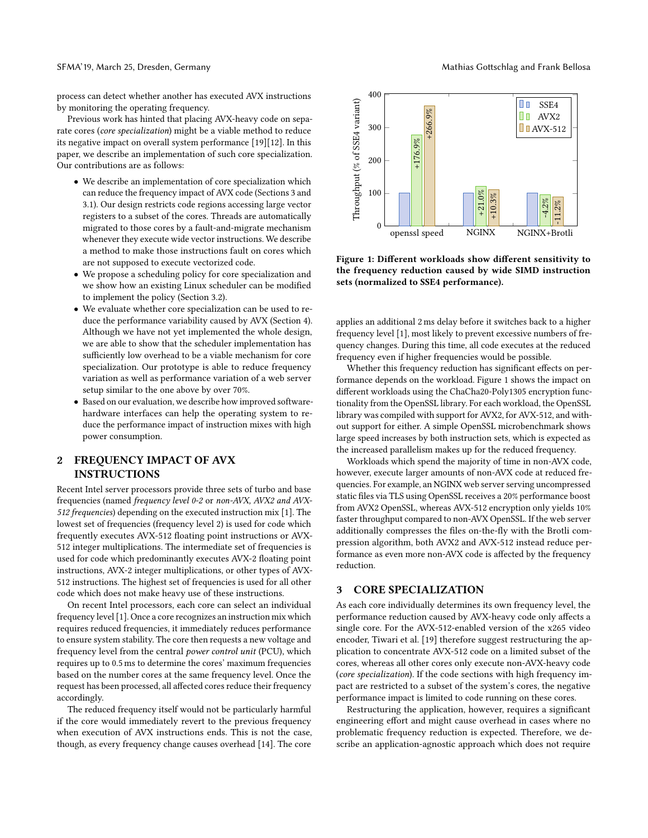#### SFMA'19, March 25, Dresden, Germany Mathias Gottschlag and Frank Bellosa

process can detect whether another has executed AVX instructions by monitoring the operating frequency.

Previous work has hinted that placing AVX-heavy code on separate cores (core specialization) might be a viable method to reduce its negative impact on overall system performance [\[19\]](#page-5-8)[\[12\]](#page-5-9). In this paper, we describe an implementation of such core specialization. Our contributions are as follows:

- We describe an implementation of core specialization which can reduce the frequency impact of AVX code (Sections [3](#page-1-0) and [3.1\)](#page-2-0). Our design restricts code regions accessing large vector registers to a subset of the cores. Threads are automatically migrated to those cores by a fault-and-migrate mechanism whenever they execute wide vector instructions. We describe a method to make those instructions fault on cores which are not supposed to execute vectorized code.
- We propose a scheduling policy for core specialization and we show how an existing Linux scheduler can be modified to implement the policy (Section [3.2\)](#page-2-1).
- We evaluate whether core specialization can be used to reduce the performance variability caused by AVX (Section [4\)](#page-2-2). Although we have not yet implemented the whole design, we are able to show that the scheduler implementation has sufficiently low overhead to be a viable mechanism for core specialization. Our prototype is able to reduce frequency variation as well as performance variation of a web server setup similar to the one above by over 70%.
- Based on our evaluation, we describe how improved softwarehardware interfaces can help the operating system to reduce the performance impact of instruction mixes with high power consumption.

# 2 FREQUENCY IMPACT OF AVX INSTRUCTIONS

Recent Intel server processors provide three sets of turbo and base frequencies (named frequency level 0-2 or non-AVX, AVX2 and AVX-512 frequencies) depending on the executed instruction mix [\[1\]](#page-5-6). The lowest set of frequencies (frequency level 2) is used for code which frequently executes AVX-512 floating point instructions or AVX-512 integer multiplications. The intermediate set of frequencies is used for code which predominantly executes AVX-2 floating point instructions, AVX-2 integer multiplications, or other types of AVX-512 instructions. The highest set of frequencies is used for all other code which does not make heavy use of these instructions.

On recent Intel processors, each core can select an individual frequency level [\[1\]](#page-5-6). Once a core recognizes an instruction mix which requires reduced frequencies, it immediately reduces performance to ensure system stability. The core then requests a new voltage and frequency level from the central power control unit (PCU), which requires up to 0.5 ms to determine the cores' maximum frequencies based on the number cores at the same frequency level. Once the request has been processed, all affected cores reduce their frequency accordingly.

The reduced frequency itself would not be particularly harmful if the core would immediately revert to the previous frequency when execution of AVX instructions ends. This is not the case, though, as every frequency change causes overhead [\[14\]](#page-5-5). The core

<span id="page-1-1"></span>

Figure 1: Different workloads show different sensitivity to the frequency reduction caused by wide SIMD instruction sets (normalized to SSE4 performance).

applies an additional 2 ms delay before it switches back to a higher frequency level [\[1\]](#page-5-6), most likely to prevent excessive numbers of frequency changes. During this time, all code executes at the reduced frequency even if higher frequencies would be possible.

Whether this frequency reduction has significant effects on performance depends on the workload. Figure [1](#page-1-1) shows the impact on different workloads using the ChaCha20-Poly1305 encryption functionality from the OpenSSL library. For each workload, the OpenSSL library was compiled with support for AVX2, for AVX-512, and without support for either. A simple OpenSSL microbenchmark shows large speed increases by both instruction sets, which is expected as the increased parallelism makes up for the reduced frequency.

Workloads which spend the majority of time in non-AVX code, however, execute larger amounts of non-AVX code at reduced frequencies. For example, an NGINX web server serving uncompressed static files via TLS using OpenSSL receives a 20% performance boost from AVX2 OpenSSL, whereas AVX-512 encryption only yields 10% faster throughput compared to non-AVX OpenSSL. If the web server additionally compresses the files on-the-fly with the Brotli compression algorithm, both AVX2 and AVX-512 instead reduce performance as even more non-AVX code is affected by the frequency reduction.

## <span id="page-1-0"></span>3 CORE SPECIALIZATION

As each core individually determines its own frequency level, the performance reduction caused by AVX-heavy code only affects a single core. For the AVX-512-enabled version of the x265 video encoder, Tiwari et al. [\[19\]](#page-5-8) therefore suggest restructuring the application to concentrate AVX-512 code on a limited subset of the cores, whereas all other cores only execute non-AVX-heavy code (core specialization). If the code sections with high frequency impact are restricted to a subset of the system's cores, the negative performance impact is limited to code running on these cores.

Restructuring the application, however, requires a significant engineering effort and might cause overhead in cases where no problematic frequency reduction is expected. Therefore, we describe an application-agnostic approach which does not require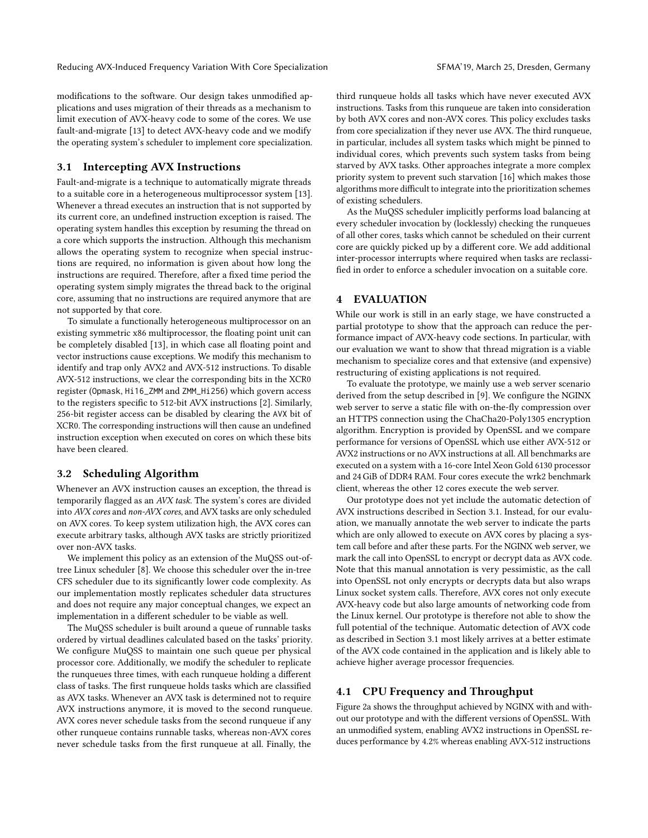modifications to the software. Our design takes unmodified applications and uses migration of their threads as a mechanism to limit execution of AVX-heavy code to some of the cores. We use fault-and-migrate [\[13\]](#page-5-10) to detect AVX-heavy code and we modify the operating system's scheduler to implement core specialization.

## <span id="page-2-0"></span>3.1 Intercepting AVX Instructions

Fault-and-migrate is a technique to automatically migrate threads to a suitable core in a heterogeneous multiprocessor system [\[13\]](#page-5-10). Whenever a thread executes an instruction that is not supported by its current core, an undefined instruction exception is raised. The operating system handles this exception by resuming the thread on a core which supports the instruction. Although this mechanism allows the operating system to recognize when special instructions are required, no information is given about how long the instructions are required. Therefore, after a fixed time period the operating system simply migrates the thread back to the original core, assuming that no instructions are required anymore that are not supported by that core.

To simulate a functionally heterogeneous multiprocessor on an existing symmetric x86 multiprocessor, the floating point unit can be completely disabled [\[13\]](#page-5-10), in which case all floating point and vector instructions cause exceptions. We modify this mechanism to identify and trap only AVX2 and AVX-512 instructions. To disable AVX-512 instructions, we clear the corresponding bits in the XCR0 register (Opmask, Hi16\_ZMM and ZMM\_Hi256) which govern access to the registers specific to 512-bit AVX instructions [\[2\]](#page-5-11). Similarly, 256-bit register access can be disabled by clearing the AVX bit of XCR0. The corresponding instructions will then cause an undefined instruction exception when executed on cores on which these bits have been cleared.

## <span id="page-2-1"></span>3.2 Scheduling Algorithm

Whenever an AVX instruction causes an exception, the thread is temporarily flagged as an AVX task. The system's cores are divided into AVX cores and non-AVX cores, and AVX tasks are only scheduled on AVX cores. To keep system utilization high, the AVX cores can execute arbitrary tasks, although AVX tasks are strictly prioritized over non-AVX tasks.

We implement this policy as an extension of the MuQSS out-oftree Linux scheduler [\[8\]](#page-5-12). We choose this scheduler over the in-tree CFS scheduler due to its significantly lower code complexity. As our implementation mostly replicates scheduler data structures and does not require any major conceptual changes, we expect an implementation in a different scheduler to be viable as well.

The MuQSS scheduler is built around a queue of runnable tasks ordered by virtual deadlines calculated based on the tasks' priority. We configure MuQSS to maintain one such queue per physical processor core. Additionally, we modify the scheduler to replicate the runqueues three times, with each runqueue holding a different class of tasks. The first runqueue holds tasks which are classified as AVX tasks. Whenever an AVX task is determined not to require AVX instructions anymore, it is moved to the second runqueue. AVX cores never schedule tasks from the second runqueue if any other runqueue contains runnable tasks, whereas non-AVX cores never schedule tasks from the first runqueue at all. Finally, the

third runqueue holds all tasks which have never executed AVX instructions. Tasks from this runqueue are taken into consideration by both AVX cores and non-AVX cores. This policy excludes tasks from core specialization if they never use AVX. The third runqueue, in particular, includes all system tasks which might be pinned to individual cores, which prevents such system tasks from being starved by AVX tasks. Other approaches integrate a more complex priority system to prevent such starvation [\[16\]](#page-5-13) which makes those algorithms more difficult to integrate into the prioritization schemes of existing schedulers.

As the MuQSS scheduler implicitly performs load balancing at every scheduler invocation by (locklessly) checking the runqueues of all other cores, tasks which cannot be scheduled on their current core are quickly picked up by a different core. We add additional inter-processor interrupts where required when tasks are reclassified in order to enforce a scheduler invocation on a suitable core.

## <span id="page-2-2"></span>4 EVALUATION

While our work is still in an early stage, we have constructed a partial prototype to show that the approach can reduce the performance impact of AVX-heavy code sections. In particular, with our evaluation we want to show that thread migration is a viable mechanism to specialize cores and that extensive (and expensive) restructuring of existing applications is not required.

To evaluate the prototype, we mainly use a web server scenario derived from the setup described in [\[9\]](#page-5-7). We configure the NGINX web server to serve a static file with on-the-fly compression over an HTTPS connection using the ChaCha20-Poly1305 encryption algorithm. Encryption is provided by OpenSSL and we compare performance for versions of OpenSSL which use either AVX-512 or AVX2 instructions or no AVX instructions at all. All benchmarks are executed on a system with a 16-core Intel Xeon Gold 6130 processor and 24 GiB of DDR4 RAM. Four cores execute the wrk2 benchmark client, whereas the other 12 cores execute the web server.

Our prototype does not yet include the automatic detection of AVX instructions described in Section [3.1.](#page-2-0) Instead, for our evaluation, we manually annotate the web server to indicate the parts which are only allowed to execute on AVX cores by placing a system call before and after these parts. For the NGINX web server, we mark the call into OpenSSL to encrypt or decrypt data as AVX code. Note that this manual annotation is very pessimistic, as the call into OpenSSL not only encrypts or decrypts data but also wraps Linux socket system calls. Therefore, AVX cores not only execute AVX-heavy code but also large amounts of networking code from the Linux kernel. Our prototype is therefore not able to show the full potential of the technique. Automatic detection of AVX code as described in Section [3.1](#page-2-0) most likely arrives at a better estimate of the AVX code contained in the application and is likely able to achieve higher average processor frequencies.

# <span id="page-2-3"></span>4.1 CPU Frequency and Throughput

Figure [2a](#page-3-0) shows the throughput achieved by NGINX with and without our prototype and with the different versions of OpenSSL. With an unmodified system, enabling AVX2 instructions in OpenSSL reduces performance by 4.2% whereas enabling AVX-512 instructions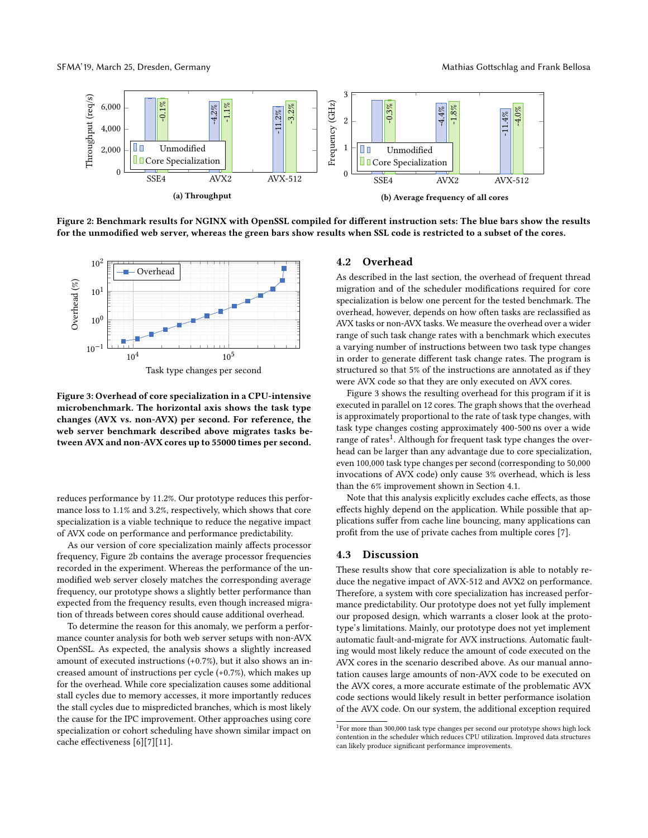<span id="page-3-0"></span>

Figure 2: Benchmark results for NGINX with OpenSSL compiled for different instruction sets: The blue bars show the results for the unmodified web server, whereas the green bars show results when SSL code is restricted to a subset of the cores.

<span id="page-3-1"></span>

Figure 3: Overhead of core specialization in a CPU-intensive microbenchmark. The horizontal axis shows the task type changes (AVX vs. non-AVX) per second. For reference, the web server benchmark described above migrates tasks between AVX and non-AVX cores up to 55000 times per second.

reduces performance by 11.2%. Our prototype reduces this performance loss to 1.1% and 3.2%, respectively, which shows that core specialization is a viable technique to reduce the negative impact of AVX code on performance and performance predictability.

As our version of core specialization mainly affects processor frequency, Figure [2b](#page-3-0) contains the average processor frequencies recorded in the experiment. Whereas the performance of the unmodified web server closely matches the corresponding average frequency, our prototype shows a slightly better performance than expected from the frequency results, even though increased migration of threads between cores should cause additional overhead.

To determine the reason for this anomaly, we perform a performance counter analysis for both web server setups with non-AVX OpenSSL. As expected, the analysis shows a slightly increased amount of executed instructions (+0.7%), but it also shows an increased amount of instructions per cycle (+0.7%), which makes up for the overhead. While core specialization causes some additional stall cycles due to memory accesses, it more importantly reduces the stall cycles due to mispredicted branches, which is most likely the cause for the IPC improvement. Other approaches using core specialization or cohort scheduling have shown similar impact on cache effectiveness [\[6\]](#page-5-14)[\[7\]](#page-5-15)[\[11\]](#page-5-16).

#### 4.2 Overhead

As described in the last section, the overhead of frequent thread migration and of the scheduler modifications required for core specialization is below one percent for the tested benchmark. The overhead, however, depends on how often tasks are reclassified as AVX tasks or non-AVX tasks. We measure the overhead over a wider range of such task change rates with a benchmark which executes a varying number of instructions between two task type changes in order to generate different task change rates. The program is structured so that 5% of the instructions are annotated as if they were AVX code so that they are only executed on AVX cores.

Figure [3](#page-3-1) shows the resulting overhead for this program if it is executed in parallel on 12 cores. The graph shows that the overhead is approximately proportional to the rate of task type changes, with task type changes costing approximately 400-500 ns over a wide range of rates<sup>[1](#page-3-2)</sup>. Although for frequent task type changes the overhead can be larger than any advantage due to core specialization, even 100,000 task type changes per second (corresponding to 50,000 invocations of AVX code) only cause 3% overhead, which is less than the 6% improvement shown in Section [4.1.](#page-2-3)

Note that this analysis explicitly excludes cache effects, as those effects highly depend on the application. While possible that applications suffer from cache line bouncing, many applications can profit from the use of private caches from multiple cores [\[7\]](#page-5-15).

#### 4.3 Discussion

These results show that core specialization is able to notably reduce the negative impact of AVX-512 and AVX2 on performance. Therefore, a system with core specialization has increased performance predictability. Our prototype does not yet fully implement our proposed design, which warrants a closer look at the prototype's limitations. Mainly, our prototype does not yet implement automatic fault-and-migrate for AVX instructions. Automatic faulting would most likely reduce the amount of code executed on the AVX cores in the scenario described above. As our manual annotation causes large amounts of non-AVX code to be executed on the AVX cores, a more accurate estimate of the problematic AVX code sections would likely result in better performance isolation of the AVX code. On our system, the additional exception required

<span id="page-3-2"></span><sup>&</sup>lt;sup>1</sup>For more than 300,000 task type changes per second our prototype shows high lock contention in the scheduler which reduces CPU utilization. Improved data structures can likely produce significant performance improvements.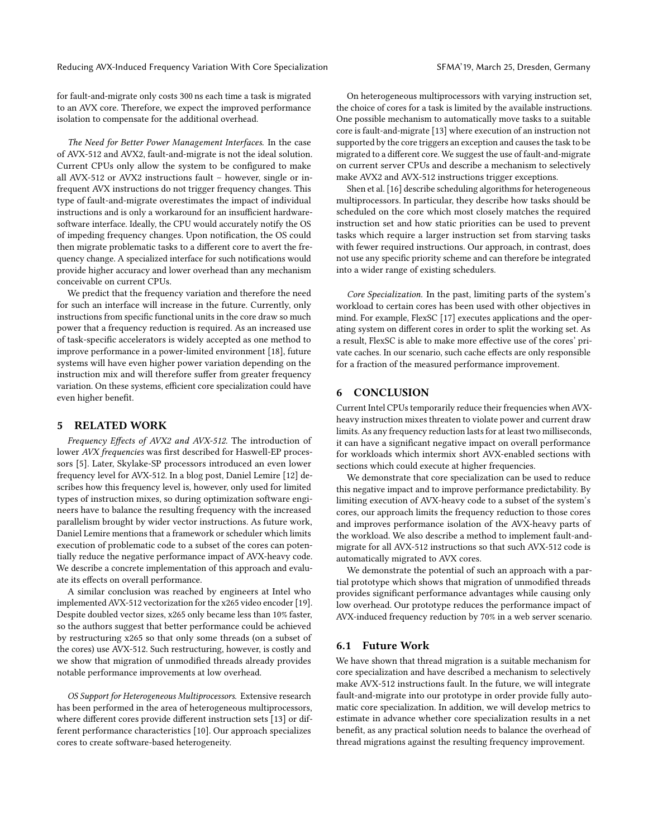Reducing AVX-Induced Frequency Variation With Core Specialization SEMA'19, March 25, Dresden, Germany

for fault-and-migrate only costs 300 ns each time a task is migrated to an AVX core. Therefore, we expect the improved performance isolation to compensate for the additional overhead.

The Need for Better Power Management Interfaces. In the case of AVX-512 and AVX2, fault-and-migrate is not the ideal solution. Current CPUs only allow the system to be configured to make all AVX-512 or AVX2 instructions fault – however, single or infrequent AVX instructions do not trigger frequency changes. This type of fault-and-migrate overestimates the impact of individual instructions and is only a workaround for an insufficient hardwaresoftware interface. Ideally, the CPU would accurately notify the OS of impeding frequency changes. Upon notification, the OS could then migrate problematic tasks to a different core to avert the frequency change. A specialized interface for such notifications would provide higher accuracy and lower overhead than any mechanism conceivable on current CPUs.

We predict that the frequency variation and therefore the need for such an interface will increase in the future. Currently, only instructions from specific functional units in the core draw so much power that a frequency reduction is required. As an increased use of task-specific accelerators is widely accepted as one method to improve performance in a power-limited environment [\[18\]](#page-5-1), future systems will have even higher power variation depending on the instruction mix and will therefore suffer from greater frequency variation. On these systems, efficient core specialization could have even higher benefit.

## 5 RELATED WORK

Frequency Effects of AVX2 and AVX-512. The introduction of lower AVX frequencies was first described for Haswell-EP processors [\[5\]](#page-5-4). Later, Skylake-SP processors introduced an even lower frequency level for AVX-512. In a blog post, Daniel Lemire [\[12\]](#page-5-9) describes how this frequency level is, however, only used for limited types of instruction mixes, so during optimization software engineers have to balance the resulting frequency with the increased parallelism brought by wider vector instructions. As future work, Daniel Lemire mentions that a framework or scheduler which limits execution of problematic code to a subset of the cores can potentially reduce the negative performance impact of AVX-heavy code. We describe a concrete implementation of this approach and evaluate its effects on overall performance.

A similar conclusion was reached by engineers at Intel who implemented AVX-512 vectorization for the x265 video encoder [\[19\]](#page-5-8). Despite doubled vector sizes, x265 only became less than 10% faster, so the authors suggest that better performance could be achieved by restructuring x265 so that only some threads (on a subset of the cores) use AVX-512. Such restructuring, however, is costly and we show that migration of unmodified threads already provides notable performance improvements at low overhead.

OS Support for Heterogeneous Multiprocessors. Extensive research has been performed in the area of heterogeneous multiprocessors, where different cores provide different instruction sets [\[13\]](#page-5-10) or different performance characteristics [\[10\]](#page-5-17). Our approach specializes cores to create software-based heterogeneity.

On heterogeneous multiprocessors with varying instruction set, the choice of cores for a task is limited by the available instructions. One possible mechanism to automatically move tasks to a suitable core is fault-and-migrate [\[13\]](#page-5-10) where execution of an instruction not supported by the core triggers an exception and causes the task to be migrated to a different core. We suggest the use of fault-and-migrate on current server CPUs and describe a mechanism to selectively make AVX2 and AVX-512 instructions trigger exceptions.

Shen et al. [\[16\]](#page-5-13) describe scheduling algorithms for heterogeneous multiprocessors. In particular, they describe how tasks should be scheduled on the core which most closely matches the required instruction set and how static priorities can be used to prevent tasks which require a larger instruction set from starving tasks with fewer required instructions. Our approach, in contrast, does not use any specific priority scheme and can therefore be integrated into a wider range of existing schedulers.

Core Specialization. In the past, limiting parts of the system's workload to certain cores has been used with other objectives in mind. For example, FlexSC [\[17\]](#page-5-18) executes applications and the operating system on different cores in order to split the working set. As a result, FlexSC is able to make more effective use of the cores' private caches. In our scenario, such cache effects are only responsible for a fraction of the measured performance improvement.

## 6 CONCLUSION

Current Intel CPUs temporarily reduce their frequencies when AVXheavy instruction mixes threaten to violate power and current draw limits. As any frequency reduction lasts for at least two milliseconds, it can have a significant negative impact on overall performance for workloads which intermix short AVX-enabled sections with sections which could execute at higher frequencies.

We demonstrate that core specialization can be used to reduce this negative impact and to improve performance predictability. By limiting execution of AVX-heavy code to a subset of the system's cores, our approach limits the frequency reduction to those cores and improves performance isolation of the AVX-heavy parts of the workload. We also describe a method to implement fault-andmigrate for all AVX-512 instructions so that such AVX-512 code is automatically migrated to AVX cores.

We demonstrate the potential of such an approach with a partial prototype which shows that migration of unmodified threads provides significant performance advantages while causing only low overhead. Our prototype reduces the performance impact of AVX-induced frequency reduction by 70% in a web server scenario.

# 6.1 Future Work

We have shown that thread migration is a suitable mechanism for core specialization and have described a mechanism to selectively make AVX-512 instructions fault. In the future, we will integrate fault-and-migrate into our prototype in order provide fully automatic core specialization. In addition, we will develop metrics to estimate in advance whether core specialization results in a net benefit, as any practical solution needs to balance the overhead of thread migrations against the resulting frequency improvement.